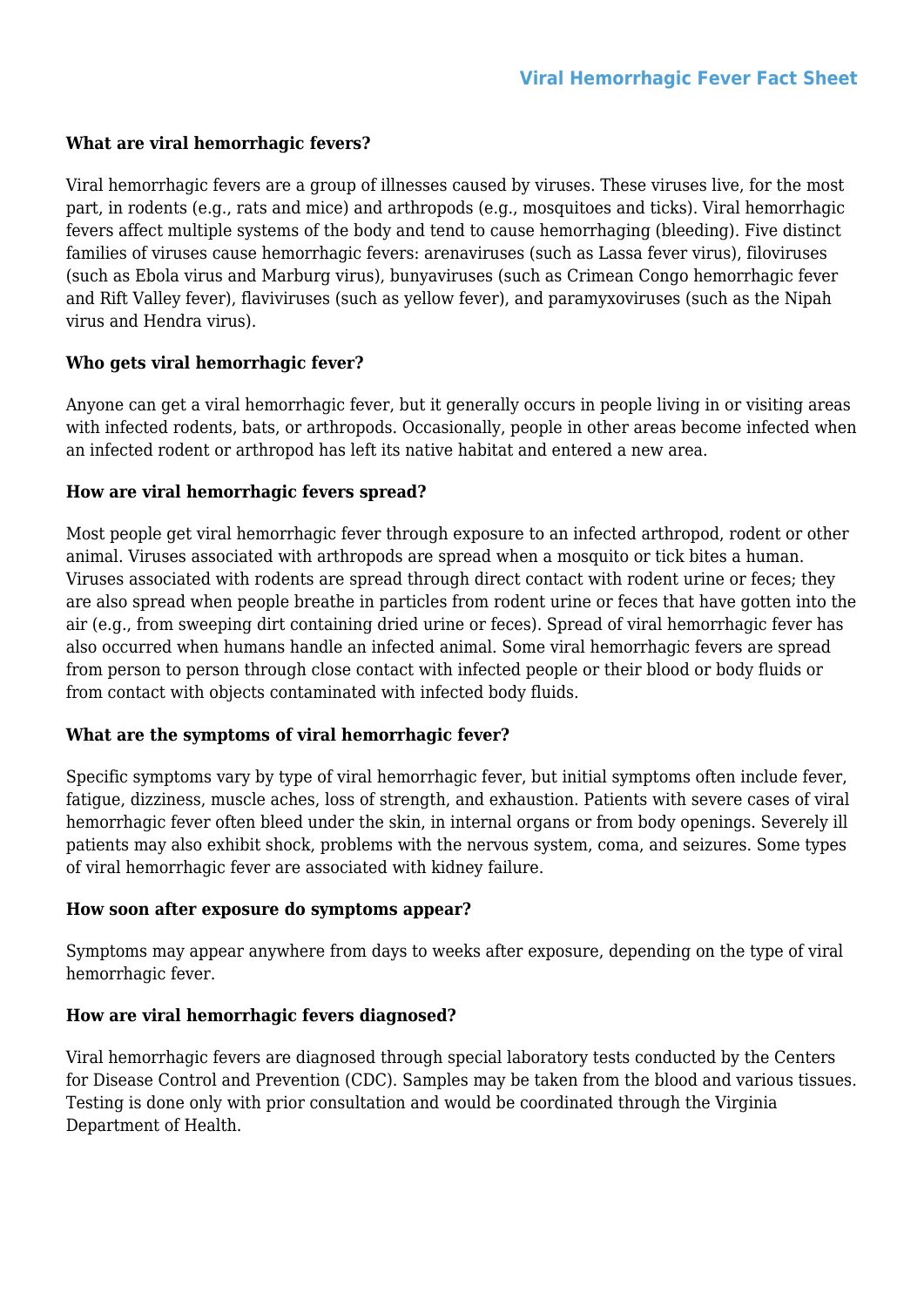# **What are viral hemorrhagic fevers?**

Viral hemorrhagic fevers are a group of illnesses caused by viruses. These viruses live, for the most part, in rodents (e.g., rats and mice) and arthropods (e.g., mosquitoes and ticks). Viral hemorrhagic fevers affect multiple systems of the body and tend to cause hemorrhaging (bleeding). Five distinct families of viruses cause hemorrhagic fevers: arenaviruses (such as Lassa fever virus), filoviruses (such as Ebola virus and Marburg virus), bunyaviruses (such as Crimean Congo hemorrhagic fever and Rift Valley fever), flaviviruses (such as yellow fever), and paramyxoviruses (such as the Nipah virus and Hendra virus).

# **Who gets viral hemorrhagic fever?**

Anyone can get a viral hemorrhagic fever, but it generally occurs in people living in or visiting areas with infected rodents, bats, or arthropods. Occasionally, people in other areas become infected when an infected rodent or arthropod has left its native habitat and entered a new area.

# **How are viral hemorrhagic fevers spread?**

Most people get viral hemorrhagic fever through exposure to an infected arthropod, rodent or other animal. Viruses associated with arthropods are spread when a mosquito or tick bites a human. Viruses associated with rodents are spread through direct contact with rodent urine or feces; they are also spread when people breathe in particles from rodent urine or feces that have gotten into the air (e.g., from sweeping dirt containing dried urine or feces). Spread of viral hemorrhagic fever has also occurred when humans handle an infected animal. Some viral hemorrhagic fevers are spread from person to person through close contact with infected people or their blood or body fluids or from contact with objects contaminated with infected body fluids.

## **What are the symptoms of viral hemorrhagic fever?**

Specific symptoms vary by type of viral hemorrhagic fever, but initial symptoms often include fever, fatigue, dizziness, muscle aches, loss of strength, and exhaustion. Patients with severe cases of viral hemorrhagic fever often bleed under the skin, in internal organs or from body openings. Severely ill patients may also exhibit shock, problems with the nervous system, coma, and seizures. Some types of viral hemorrhagic fever are associated with kidney failure.

## **How soon after exposure do symptoms appear?**

Symptoms may appear anywhere from days to weeks after exposure, depending on the type of viral hemorrhagic fever.

## **How are viral hemorrhagic fevers diagnosed?**

Viral hemorrhagic fevers are diagnosed through special laboratory tests conducted by the Centers for Disease Control and Prevention (CDC). Samples may be taken from the blood and various tissues. Testing is done only with prior consultation and would be coordinated through the Virginia Department of Health.